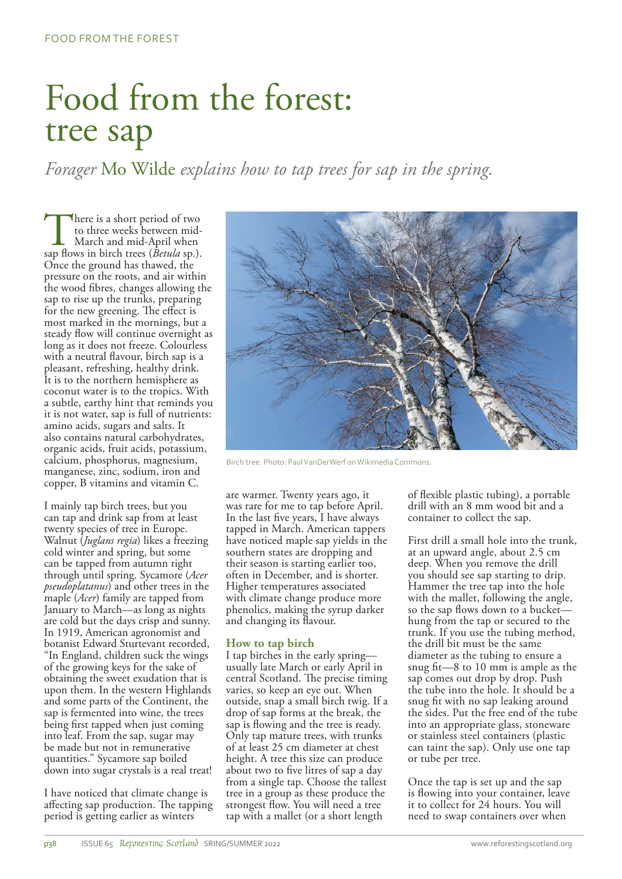# Food from the forest: tree sap

*Forager* Mo Wilde *explains how to tap trees for sap in the spring.*

There is a short period of two to three weeks between mid-<br>March and mid-April when<br>sap flows in birch trees (*Betula* sp.). to three weeks between mid-March and mid-April when Once the ground has thawed, the pressure on the roots, and air within the wood fibres, changes allowing the sap to rise up the trunks, preparing for the new greening. The effect is most marked in the mornings, but a steady flow will continue overnight as long as it does not freeze. Colourless with a neutral flavour, birch sap is a pleasant, refreshing, healthy drink. It is to the northern hemisphere as coconut water is to the tropics. With a subtle, earthy hint that reminds you it is not water, sap is full of nutrients: amino acids, sugars and salts. It also contains natural carbohydrates, organic acids, fruit acids, potassium, calcium, phosphorus, magnesium, manganese, zinc, sodium, iron and copper, B vitamins and vitamin C.

I mainly tap birch trees, but you can tap and drink sap from at least twenty species of tree in Europe. Walnut (*Juglans regia*) likes a freezing cold winter and spring, but some can be tapped from autumn right through until spring. Sycamore (*Acer pseudoplatanus*) and other trees in the maple (*Acer*) family are tapped from January to March—as long as nights are cold but the days crisp and sunny. In 1919, American agronomist and botanist Edward Sturtevant recorded, "In England, children suck the wings of the growing keys for the sake of obtaining the sweet exudation that is upon them. In the western Highlands and some parts of the Continent, the sap is fermented into wine, the trees being first tapped when just coming into leaf. From the sap, sugar may be made but not in remunerative quantities." Sycamore sap boiled down into sugar crystals is a real treat!

I have noticed that climate change is affecting sap production. The tapping period is getting earlier as winters



Birch tree. Photo: Paul VanDerWerf on Wikimedia Commons.

are warmer. Twenty years ago, it was rare for me to tap before April. In the last five years, I have always tapped in March. American tappers have noticed maple sap yields in the southern states are dropping and their season is starting earlier too, often in December, and is shorter. Higher temperatures associated with climate change produce more phenolics, making the syrup darker and changing its flavour.

## **How to tap birch**

I tap birches in the early spring usually late March or early April in central Scotland. The precise timing varies, so keep an eye out. When outside, snap a small birch twig. If a drop of sap forms at the break, the sap is flowing and the tree is ready. Only tap mature trees, with trunks of at least 25 cm diameter at chest height. A tree this size can produce about two to five litres of sap a day from a single tap. Choose the tallest tree in a group as these produce the strongest flow. You will need a tree tap with a mallet (or a short length

of flexible plastic tubing), a portable drill with an 8 mm wood bit and a container to collect the sap.

First drill a small hole into the trunk, at an upward angle, about 2.5 cm deep. When you remove the drill you should see sap starting to drip. Hammer the tree tap into the hole with the mallet, following the angle, so the sap flows down to a bucket hung from the tap or secured to the trunk. If you use the tubing method, the drill bit must be the same diameter as the tubing to ensure a snug fit—8 to 10 mm is ample as the sap comes out drop by drop. Push the tube into the hole. It should be a snug fit with no sap leaking around the sides. Put the free end of the tube into an appropriate glass, stoneware or stainless steel containers (plastic can taint the sap). Only use one tap or tube per tree.

Once the tap is set up and the sap is flowing into your container, leave it to collect for 24 hours. You will need to swap containers over when